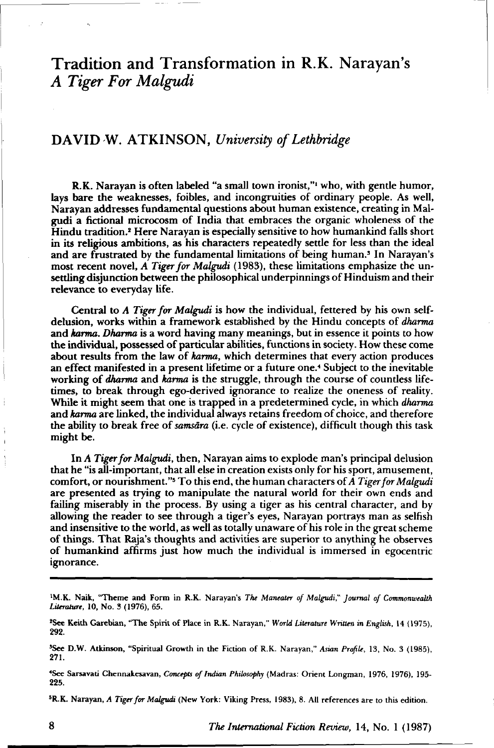Tradition and Transformation in R.K. Narayan's *A Tiger For Malgudi* 

## DAVID W. ATKINSON, *University of Lethbridge*

R.K. Narayan is often labeled "a small town ironist,"<sup>1</sup> who, with gentle humor, lays bare the weaknesses, foibles, and incongruities of ordinary people. As well, Narayan addresses fundamental questions about human existence, creating in Malgudi a fictional microcosm of India that embraces the organic wholeness of the Hindu tradition.<sup>2</sup> Here Narayan is especially sensitive to how humankind falls short in its religious ambitions, as his characters repeatedly settle for less than the ideal and are frustrated by the fundamental limitations of being human.<sup>5</sup> In Narayan's most recent novel, *A Tiger for Malgudi* (1983), these limitations emphasize the unsettling disjunction between the philosophical underpinnings of Hinduism and their relevance to everyday life.

Central to *A Tiger for Malgudi* is how the individual, fettered by his own selfdelusion, works within a framework established by the Hindu concepts of *dharma*  and *karma. Dharma* is a word having many meanings, but in essence it points to how die individual, possessed of particular abilities, functions in society. How these come about results from die law of *karma,* which determines that every action produces an effect manifested in a present lifetime or a future one.<sup>4</sup> Subject to the inevitable working of *dharma* and *karma* is the struggle, through the course of countless lifetimes, to break through ego-derived ignorance to realize the oneness of reality. While it might seem that one is trapped in a predetermined cycle, in which *dharma*  and *karma* are linked, the individual always retains freedom of choice, and therefore die ability to break free of *samsara* (i.e. cycle of existence), difficult though this task might be.

In *A Tiger for Malgudi,* then, Narayan aims to explode man's principal delusion that he "is all-important, that all else in creation exists only for his sport, amusement, comfort, or nourishment."<sup>5</sup> To this end, the human characters of A *Tiger for Malgudi* are presented as trying to manipulate the natural world for their own ends and failing miserably in the process. By using a tiger as his central character, and by allowing die reader to see through a tiger's eyes, Narayan portrays man as selfish and insensitive to the world, as well as totally unaware of his role in the great scheme of things. That Raja's thoughts and activities are superior to anything he observes of humankind affirms just how much the individual is immersed in egocentric ignorance.

**<sup>5</sup>R.K. Narayan,** *A Tiger for Malgudi* **(New York: Viking Press, 1983), 8. All references are to this edition.** 

**<sup>•</sup>M.K. Naik, "Theme and Form in R.K. Narayan's** *The Maneater of Malgudi," Journal of Commonwealth Literature,* **10, No. 3 (1976), 65.** 

**<sup>&#</sup>x27;See Keith Garebian. "The Spirit of Place in R.K. Narayan,"** *World Literature Written in English,* **14 (1975), 292.** 

**<sup>&#</sup>x27;See D.W. Atkinson, "Spiritual Growth in the Fiction of R.K. Narayan,"** *Asian Profile,* **13, No. 3 (1985), 271.** 

**<sup>&#</sup>x27;See Sarsavati Chennakesavan,** *Concepts of Indian Philosophy* **(Madras: Orient Longman, 1976, 1976), 195- 225.**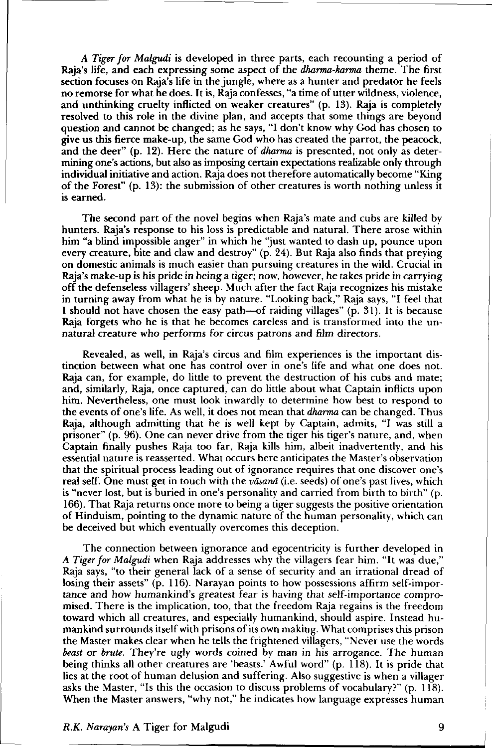*A Tiger for Malgudi* is developed in three parts, each recounting a period of Raja's life, and each expressing some aspect of the *dharma-karma* theme. The first section focuses on Raja's life in the jungle, where as a hunter and predator he feels no remorse for what he does. It is, Raja confesses, "a time of utter wildness, violence, and unthinking cruelty inflicted on weaker creatures" (p. 13). Raja is completely resolved to this role in the divine plan, and accepts that some things are beyond question and cannot be changed; as he says, "I don't know why God has chosen to give us diis fierce make-up, the same God who has created the parrot, the peacock, and the deer" (p. 12). Here the nature of *dharma* is presented, not only as determining one's actions, but also as imposing certain expectations realizable only through individual initiative and action. Raja does not therefore automatically become "King of the Forest" (p. 13): the submission of other creatures is worth nothing unless it is earned.

The second part of the novel begins when Raja's mate and cubs are killed by hunters. Raja's response to his loss is predictable and natural. There arose within him "a blind impossible anger" in which he "just wanted to dash up, pounce upon every creature, bite and claw and destroy" (p. 24). But Raja also finds that preying on domestic animals is much easier than pursuing creatures in the wild. Crucial in Raja's make-up is his pride in being a tiger; now, however, he takes pride in carrying off the defenseless villagers' sheep. Much after the fact Raja recognizes his mistake in turning away from what he is by nature. "Looking back," Raja says, "I feel that I should not have chosen the easy path—of raiding villages" (p. 31). It is because Raja forgets who he is that he becomes careless and is transformed into the unnatural creature who performs for circus patrons and film directors.

Revealed, as well, in Raja's circus and film experiences is the important distinction between what one has control over in one's life and what one does not. Raja can, for example, do little to prevent the destruction of his cubs and mate; and, similarly, Raja, once captured, can do little about what Captain inflicts upon him. Nevertheless, one must look inwardly to determine how best to respond to the events of one's life. As well, it does not mean that *dharma* can be changed. Thus Raja, although admitting that he is well kept by Captain, admits, "I was still a prisoner" (p. 96). One can never drive from the tiger his tiger's nature, and, when Captain finally pushes Raja too far, Raja kills him, albeit inadvertently, and his essential nature is reasserted. What occurs here anticipates the Master's observation that the spiritual process leading out of ignorance requires that one discover one's real self. One must get in touch with the *väsanä* (i.e. seeds) of one's past lives, which is "never lost, but is buried in one's personality and carried from birth to birth" (p. 166). That Raja returns once more to being a tiger suggests the positive orientation of Hinduism, pointing to the dynamic nature of the human personality, which can be deceived but which eventually overcomes this deception.

The connection between ignorance and egocentricity is further developed in *A Tiger for Malgudi* when Raja addresses why the villagers fear him. "It was due," Raja says, "to their general lack of a sense of security and an irrational dread of losing their assets" (p. 116). Narayan points to how possessions affirm self-importance and how humankind's greatest fear is having that self-importance compromised. There is the implication, too, that the freedom Raja regains is the freedom toward which all creatures, and especially humankind, should aspire. Instead humankind surrounds itself with prisons of its own making. What comprises this prison the Master makes clear when he tells the frightened villagers, "Never use the words *beast* or *brute.* They're ugly words coined by man in his arrogance. The human being thinks all other creatures are 'beasts.' Awful word" (p. 118). It is pride that lies at the root of human delusion and suffering. Also suggestive is when a villager asks the Master, "Is this the occasion to discuss problems of vocabulary?" (p. 118). When the Master answers, "why not," he indicates how language expresses human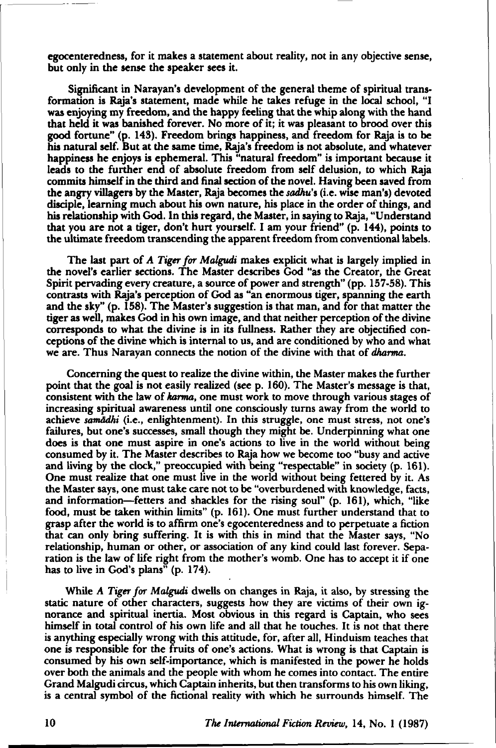**egocenteredness, for it makes a statement about reality, not in any objective sense, but only in the sense the speaker sees it.** 

**Significant in Narayan's development of the general theme of spiritual transformation is Raja's statement, made while he takes refuge in die local school, "I was enjoying my freedom, and the happy feeling that the whip along with the hand that held it was banished forever. No more of it; it was pleasant to brood over this good fortune" (p. 143). Freedom brings happiness, and freedom for Raja is to be his natural self. But at the same time, Raja's freedom is not absolute, and whatever happiness he enjoys is ephemeral. This "natural freedom" is important because it leads to die further end of absolute freedom from self delusion, to which Raja commits himself in die third and final section of die novel. Having been saved from die angry villagers by die Master, Raja becomes die** *sadhu's* **(i.e. wise man's) devoted**  disciple, learning much about his own nature, his place in the order of things, and **his relationship with God. In this regard, the Master, in saying to Raja, "Understand that you are not a tiger, don't hurt yourself. I am your friend" (p. 144), points to the ultimate freedom transcending the apparent freedom from conventional labels.** 

**The last part of A** *Tiger for Malgudi* **makes explicit what is largely implied in**  the novel's earlier sections. The Master describes God "as the Creator, the Great **Spirit pervading every creature, a source of power and strengdi" (pp. 157-58). This contrasts with Raja's perception of God as "an enormous tiger, spanning the earth and die sky" (p. 158). The Master's suggestion is that man, and for that matter the tiger as well, makes God in his own image, and that neidier perception of die divine**  corresponds to what the divine is in its fullness. Rather they are objectified con**ceptions of die divine which is internal to us, and are conditioned by who and what we are. Thus Narayan connects die notion of die divine with that of** *dharma.* 

Concerning the quest to realize the divine within, the Master makes the further **point that die goal is not easily realized (see p. 160). The Master's message is that, consistent with die law of** *karma,* **one must work to move dirough various stages of increasing spiritual awareness until one consciously turns away from die world to achieve** *samàdhi* **(i.e., enlightenment). In this struggle, one must stress, not one's failures, but one's successes, small though they might be. Underpinning what one does is that one must aspire in one's actions to live in the world without being consumed by it. The Master describes to Raja how we become too "busy and active and living by die clock," preoccupied widi being "respectable" in society (p. 161). One must realize diat one must live in die world without being fettered by it. As die Master says, one must take care not to be "overburdened with knowledge, facts, and information—fetters and shackles for die rising soul" (p. 161), which, "like food, must be taken within limits" (p. 161). One must further understand that to grasp after die world is to affirm one's egocenteredness and to perpetuate a fiction that can only bring suffering. It is with this in mind that die Master says, "No relationship, human or other, or association of any kind could last forever. Sepa**ration is the law of life right from the mother's womb. One has to accept it if one **has to live in God's plans" (p. 174).** 

**While** *A Tiger for Malgudi* **dwells on changes in Raja, it also, by stressing the static nature of odier characters, suggests how diey are victims of dieir own ignorance and spiritual inertia. Most obvious in this regard is Captain, who sees himself in total control of his own life and all that he touches. It is not that there**  is anything especially wrong with this attitude, for, after all, Hinduism teaches that **one is responsible for die fruits of one's actions. What is wrong is diat Captain is consumed by his own self-importance, which is manifested in the power he holds over bodi die animals and die people widi whom he comes into contact. The entire Grand Malgudi circus, which Captain inherits, but dien transforms to his own liking, is a central symbol of die fictional reality widi which he surrounds himself. The**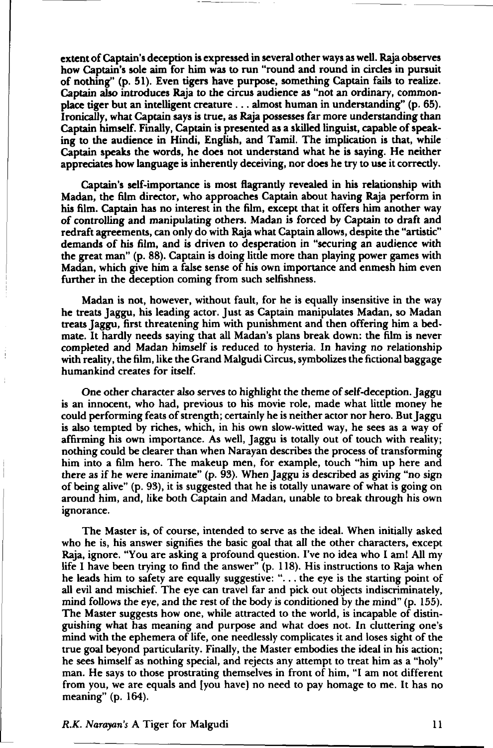**extent of Captain's deception is expressed in several other ways as well. Raja observes how Captain's sole aim for him was to run "round and round in circles in pursuit of nothing" (p. 51). Even tigers have purpose, something Captain fails to realize. Captain also introduces Raja to the circus audience as "not an ordinary, commonplace tiger but an intelligent creature .. . almost human in understanding" (p. 65). Ironically, what Captain says is true, as Raja possesses far more understanding than Captain himself. Finally, Captain is presented as a skilled linguist, capable of speaking to the audience in Hindi, English, and Tamil. The implication is that, while Captain speaks the words, he does not understand what he is saying. He neither appreciates how language is inherently deceiving, nor does he try to use it correctly.** 

**Captain's self-importance is most flagrandy revealed in his relationship with Madan, the film director, who approaches Captain about having Raja perform in his film. Captain has no interest in the film, except that it offers him another way of controlling and manipulating others. Madan is forced by Captain to draft and redraft agreements, can only do with Raja what Captain allows, despite the "artistic" demands of his film, and is driven to desperation in "securing an audience with die great man" (p. 88). Captain is doing little more than playing power games with Madan, which give him a false sense of his own importance and enmesh him even further in the deception coming from such selfishness.** 

**Madan is not, however, without fault, for he is equally insensitive in the way he treats Jaggu, his leading actor. Just as Captain manipulates Madan, so Madan treats Jaggu, first threatening him with punishment and then offering him a bedmate. It hardly needs saying that all Madan's plans break down: the film is never completed and Madan himself is reduced to hysteria. In having no relationship with reality, the film, like die Grand Malgudi Circus, symbolizes the fictional baggage humankind creates for itself.** 

**One other character also serves to highlight the theme of self-deception. Jaggu is an innocent, who had, previous to his movie role, made what little money he could performing feats of strength; certainly he is neither actor nor hero. But Jaggu is also tempted by riches, which, in his own slow-witted way, he sees as a way of affirming his own importance. As well, Jaggu is totally out of touch with reality; nothing could be clearer than when Narayan describes the process of transforming him into a film hero. The makeup men, for example, touch "him up here and Uiere as if he were inanimate" (p. 93). When Jaggu is described as giving "no sign of being alive" (p. 93), it is suggested that he is totally unaware of what is going on around him, and, like both Captain and Madan, unable to break through his own ignorance.** 

**The Master is, of course, intended to serve as the ideal. When initially asked**  who he is, his answer signifies the basic goal that all the other characters, except **Raja, ignore. "You are asking a profound question. I've no idea who I am! All my life I have been trying to find the answer" (p. 118). His instructions to Raja when he leads him to safety are equally suggestive: "... die eye is the starting point of all evil and mischief. The eye can travel far and pick out objects indiscriminately, mind follows the eye, and the rest of the body is conditioned by the mind" (p. 155). The Master suggests how one, while attracted to the world, is incapable of distinguishing what has meaning and purpose and what does not. In cluttering one's mind with the ephemera of life, one needlessly complicates it and loses sight of the true goal beyond particularity. Finally, the Master embodies** *the* **ideal in his action; he sees himself as nothing special, and rejects any attempt to treat him as a "holy"**  man. He says to those prostrating themselves in front of him, "I am not different **from you, we are equals and [you have] no need to pay homage to me. It has no meaning" (p. 164).**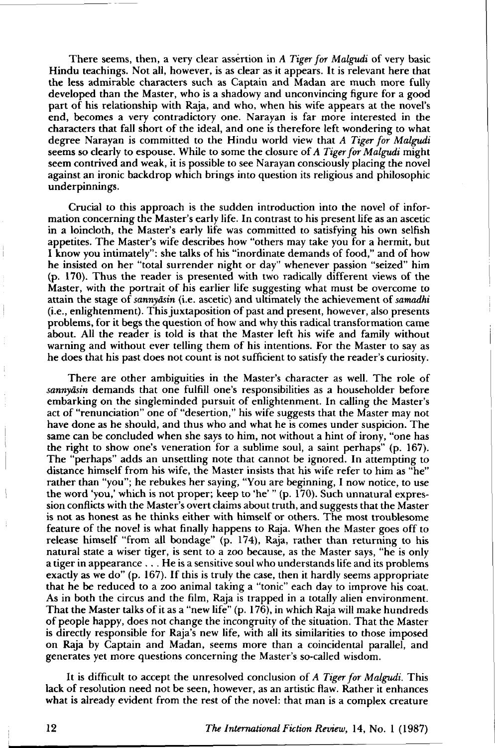There seems, then, a very clear assertion in *A Tiger for Malgudi* of very basic Hindu teachings. Not all, however, is as clear as it appears. It is relevant here that the less admirable characters such as Captain and Madan are much more fully developed than the Master, who is a shadowy and unconvincing figure for a good part of his relationship with Raja, and who, when his wife appears at the novel's end, becomes a very contradictory one. Narayan is far more interested in the characters that fall short of the ideal, and one is therefore left wondering to what degree Narayan is committed to the Hindu world view that *A Tiger for Malgudi*  seems so clearly to espouse. While to some the closure of *A Tiger for Malgudi* might seem contrived and weak, it is possible to see Narayan consciously placing the novel against an ironic backdrop which brings into question its religious and philosophic underpinnings.

Crucial to this approach is the sudden introduction into the novel of information concerning the Master's early life. In contrast to his present life as an ascetic in a loincloth, the Master's early life was committed to satisfying his own selfish appetites. The Master's wife describes how "others may take you for a hermit, but I know you intimately": she talks of his "inordinate demands of food," and of how he insisted on her "total surrender night or day" whenever passion "seized" him (p. 170). Thus the reader is presented with two radically different views of the Master, with the portrait of his earlier life suggesting what must be overcome to attain the stage of *sannyâsin* (i.e. ascetic) and ultimately the achievement of *samadhi*  (i.e., enlightenment). This juxtaposition of past and present, however, also presents problems, for it begs the question of how and why this radical transformation came about. All the reader is told is that the Master left his wife and family without warning and without ever telling them of his intentions. For the Master to say as he does that his past does not count is not sufficient to satisfy the reader's curiosity.

There are other ambiguities in the Master's character as well. The role of *sannyâsin* demands that one fulfill one's responsibilities as a householder before embarking on the singleminded pursuit of enlightenment. In calling the Master's act of "renunciation" one of "desertion," his wife suggests that the Master may not have done as he should, and thus who and what he is comes under suspicion. The same can be concluded when she says to him, not without a hint of irony, "one has the right to show one's veneration for a sublime soul, a saint perhaps" (p. 167). The "perhaps" adds an unsettling note that cannot be ignored. In attempting to distance himself from his wife, the Master insists that his wife refer to him as "he" rather than "you"; he rebukes her saying, "You are beginning, I now notice, to use the word 'you,' which is not proper; keep to 'he' " (p. 170). Such unnatural expression conflicts with the Master's overt claims about truth, and suggests that the Master is not as honest as he thinks either with himself or others. The most troublesome feature of the novel is what finally happens to Raja. When the Master goes off to release himself "from all bondage" (p. 174), Raja, rather than returning to his natural state a wiser tiger, is sent to a zoo because, as the Master says, "he is only a tiger in appearance . . . He is a sensitive soul who understands life and its problems exacdy as we do" (p. 167). If this is truly the case, then it hardly seems appropriate that he be reduced to a zoo animal taking a "tonic" each day to improve his coat. As in both the circus and the film, Raja is trapped in a totally alien environment. That the Master talks of it as a "new life" (p. 176), in which Raja will make hundreds of people happy, does not change the incongruity of the situation. That the Master is directly responsible for Raja's new life, with all its similarities to those imposed on Raja by Captain and Madan, seems more than a coincidental parallel, and generates yet more questions concerning the Master's so-called wisdom.

It is difficult to accept the unresolved conclusion of *A Tiger for Malgudi.* This lack of resolution need not be seen, however, as an artistic flaw. Rather it enhances what is already evident from the rest of the novel: that man is a complex creature